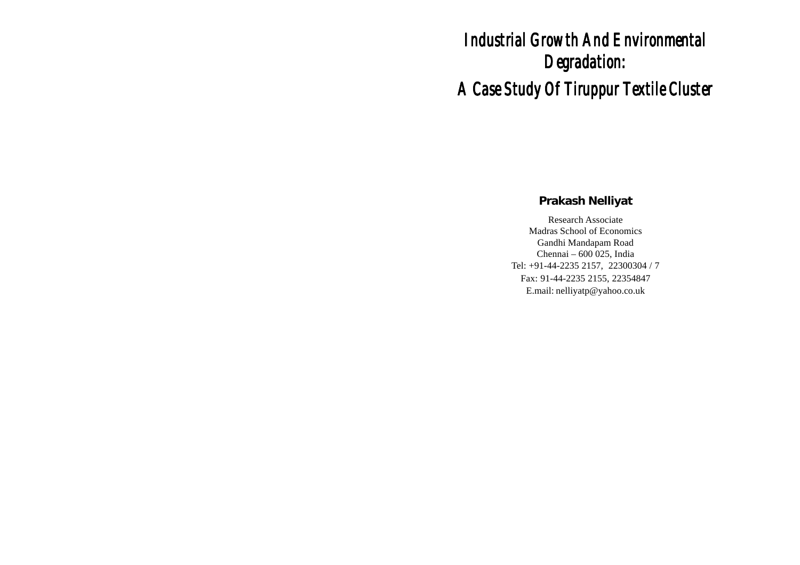# **Industrial Growth And Environmental** *Degradation: Degradation: A Case Study Of Tiruppur Textile Cluster Case Study Of Tiruppur Textile Case Study Textile Cluster*

# **Prakash Nelliyat**

Research Associate Madras School of Economics Gandhi Mandapam Road Chennai – 600 025, India Tel: +91-44-2235 2157, 22300304 / 7 Fax: 91-44-2235 2155, 22354847 E.mail: nelliyatp@yahoo.co.uk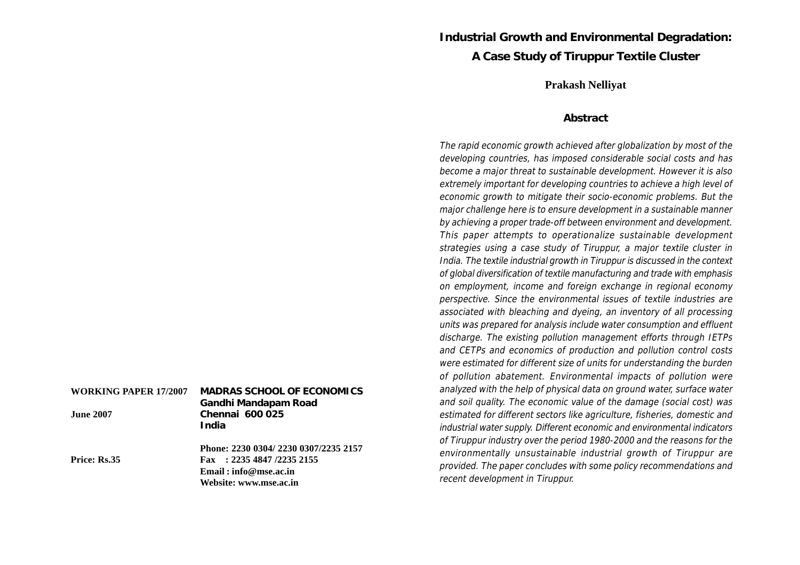# **Industrial Growth and Environmental Degradation: A Case Study of Tiruppur Textile Cluster**

#### **Prakash Nelliyat**

#### **Abstract**

The rapid economic growth achieved after globalization by most of the developing countries, has imposed considerable social costs and has become a major threat to sustainable development. However it is also extremely important for developing countries to achieve a high level of economic growth to mitigate their socio-economic problems. But the major challenge here is to ensure development in a sustainable manner by achieving a proper trade-off between environment and development. This paper attempts to operationalize sustainable development strategies using a case study of Tiruppur, a major textile cluster in India. The textile industrial growth in Tiruppur is discussed in the context of global diversification of textile manufacturing and trade with emphasis on employment, income and foreign exchange in regional economy perspective. Since the environmental issues of textile industries are associated with bleaching and dyeing, an inventory of all processing units was prepared for analysis include water consumption and effluent discharge. The existing pollution management efforts through IETPs and CETPs and economics of production and pollution control costs were estimated for different size of units for understanding the burden of pollution abatement. Environmental impacts of pollution were analyzed with the help of physical data on ground water, surface water and soil quality. The economic value of the damage (social cost) was estimated for different sectors like agriculture, fisheries, domestic and industrial water supply. Different economic and environmental indicators of Tiruppur industry over the period 1980-2000 and the reasons for the environmentally unsustainable industrial growth of Tiruppur are provided. The paper concludes with some policy recommendations and recent development in Tiruppur.

| WORKING PAPER 17/2007<br><b>June 2007</b> | <b>MADRAS SCHOOL OF ECONOMICS</b><br>Gandhi Mandapam Road<br>Chennai 600 025<br>India                                 |
|-------------------------------------------|-----------------------------------------------------------------------------------------------------------------------|
| Price: Rs.35                              | Phone: 2230 0304/2230 0307/2235 2157<br>Fax : 2235 4847 /2235 2155<br>Email: info@mse.ac.in<br>Website: www.mse.ac.in |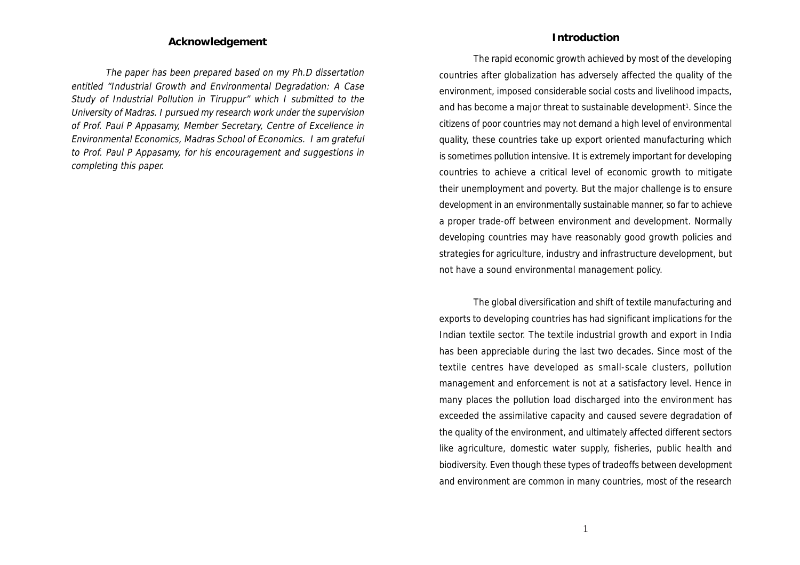#### **Acknowledgement**

The paper has been prepared based on my Ph.D dissertation entitled "Industrial Growth and Environmental Degradation: A Case Study of Industrial Pollution in Tiruppur" which I submitted to the University of Madras. I pursued my research work under the supervision of Prof. Paul P Appasamy, Member Secretary, Centre of Excellence in Environmental Economics, Madras School of Economics. I am grateful to Prof. Paul P Appasamy, for his encouragement and suggestions in completing this paper.

#### **Introduction**

The rapid economic growth achieved by most of the developing countries after globalization has adversely affected the quality of the environment, imposed considerable social costs and livelihood impacts, and has become a major threat to sustainable development<sup>1</sup>. Since the citizens of poor countries may not demand a high level of environmental quality, these countries take up export oriented manufacturing which is sometimes pollution intensive. It is extremely important for developing countries to achieve a critical level of economic growth to mitigate their unemployment and poverty. But the major challenge is to ensure development in an environmentally sustainable manner, so far to achieve a proper trade-off between environment and development. Normally developing countries may have reasonably good growth policies and strategies for agriculture, industry and infrastructure development, but not have a sound environmental management policy.

The global diversification and shift of textile manufacturing and exports to developing countries has had significant implications for the Indian textile sector. The textile industrial growth and export in India has been appreciable during the last two decades. Since most of the textile centres have developed as small-scale clusters, pollution management and enforcement is not at a satisfactory level. Hence in many places the pollution load discharged into the environment has exceeded the assimilative capacity and caused severe degradation of the quality of the environment, and ultimately affected different sectors like agriculture, domestic water supply, fisheries, public health and biodiversity. Even though these types of tradeoffs between development and environment are common in many countries, most of the research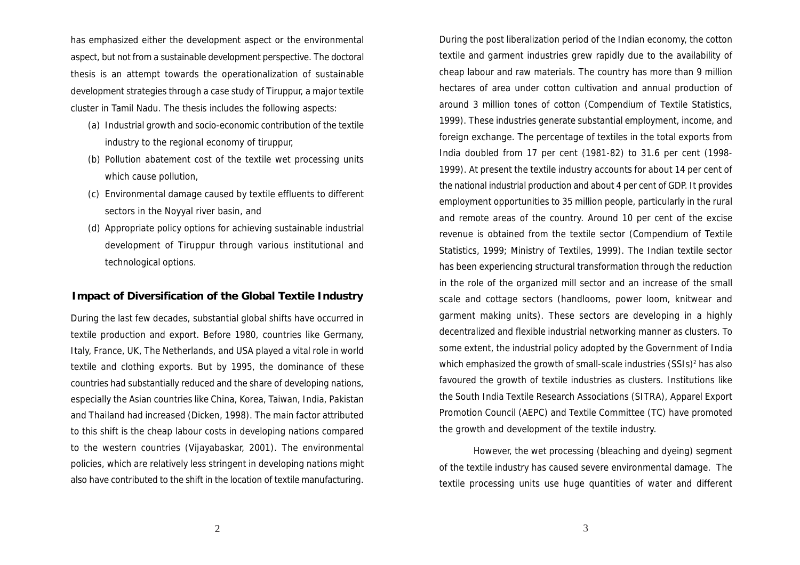has emphasized either the development aspect or the environmental aspect, but not from a sustainable development perspective. The doctoral thesis is an attempt towards the operationalization of sustainable development strategies through a case study of Tiruppur, a major textile cluster in Tamil Nadu. The thesis includes the following aspects:

- (a) Industrial growth and socio-economic contribution of the textile industry to the regional economy of tiruppur,
- (b) Pollution abatement cost of the textile wet processing units which cause pollution,
- (c) Environmental damage caused by textile effluents to different sectors in the Noyyal river basin, and
- (d) Appropriate policy options for achieving sustainable industrial development of Tiruppur through various institutional and technological options.

#### **Impact of Diversification of the Global Textile Industry**

During the last few decades, substantial global shifts have occurred in textile production and export. Before 1980, countries like Germany, Italy, France, UK, The Netherlands, and USA played a vital role in world textile and clothing exports. But by 1995, the dominance of these countries had substantially reduced and the share of developing nations, especially the Asian countries like China, Korea, Taiwan, India, Pakistan and Thailand had increased (Dicken, 1998). The main factor attributed to this shift is the cheap labour costs in developing nations compared to the western countries (Vijayabaskar, 2001). The environmental policies, which are relatively less stringent in developing nations might also have contributed to the shift in the location of textile manufacturing.

During the post liberalization period of the Indian economy, the cotton textile and garment industries grew rapidly due to the availability of cheap labour and raw materials. The country has more than 9 million hectares of area under cotton cultivation and annual production of around 3 million tones of cotton (Compendium of Textile Statistics, 1999). These industries generate substantial employment, income, and foreign exchange. The percentage of textiles in the total exports from India doubled from 17 per cent (1981-82) to 31.6 per cent (1998- 1999). At present the textile industry accounts for about 14 per cent of the national industrial production and about 4 per cent of GDP. It provides employment opportunities to 35 million people, particularly in the rural and remote areas of the country. Around 10 per cent of the excise revenue is obtained from the textile sector (Compendium of Textile Statistics, 1999; Ministry of Textiles, 1999). The Indian textile sector has been experiencing structural transformation through the reduction in the role of the organized mill sector and an increase of the small scale and cottage sectors (handlooms, power loom, knitwear and garment making units). These sectors are developing in a highly decentralized and flexible industrial networking manner as clusters. To some extent, the industrial policy adopted by the Government of India which emphasized the growth of small-scale industries (SSIs)<sup>2</sup> has also favoured the growth of textile industries as clusters. Institutions like the South India Textile Research Associations (SITRA), Apparel Export Promotion Council (AEPC) and Textile Committee (TC) have promoted the growth and development of the textile industry.

However, the wet processing (bleaching and dyeing) segment of the textile industry has caused severe environmental damage. The textile processing units use huge quantities of water and different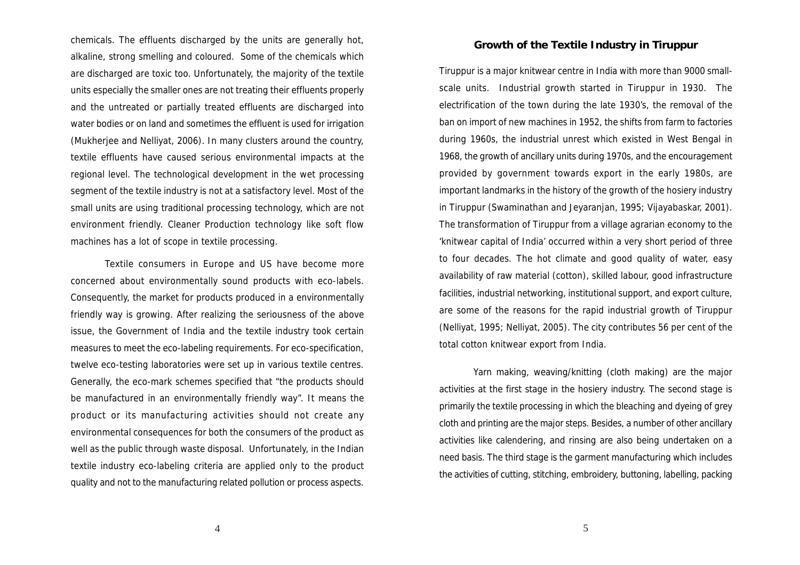chemicals. The effluents discharged by the units are generally hot, alkaline, strong smelling and coloured. Some of the chemicals which are discharged are toxic too. Unfortunately, the majority of the textile units especially the smaller ones are not treating their effluents properly and the untreated or partially treated effluents are discharged into water bodies or on land and sometimes the effluent is used for irrigation (Mukherjee and Nelliyat, 2006). In many clusters around the country, textile effluents have caused serious environmental impacts at the regional level. The technological development in the wet processing segment of the textile industry is not at a satisfactory level. Most of the small units are using traditional processing technology, which are not environment friendly. Cleaner Production technology like soft flow machines has a lot of scope in textile processing.

Textile consumers in Europe and US have become more concerned about environmentally sound products with eco-labels. Consequently, the market for products produced in a environmentally friendly way is growing. After realizing the seriousness of the above issue, the Government of India and the textile industry took certain measures to meet the eco-labeling requirements. For eco-specification, twelve eco-testing laboratories were set up in various textile centres. Generally, the eco-mark schemes specified that "the products should be manufactured in an environmentally friendly way". It means the product or its manufacturing activities should not create any environmental consequences for both the consumers of the product as well as the public through waste disposal. Unfortunately, in the Indian textile industry eco-labeling criteria are applied only to the product quality and not to the manufacturing related pollution or process aspects.

#### **Growth of the Textile Industry in Tiruppur**

Tiruppur is a major knitwear centre in India with more than 9000 smallscale units. Industrial growth started in Tiruppur in 1930. The electrification of the town during the late 1930's, the removal of the ban on import of new machines in 1952, the shifts from farm to factories during 1960s, the industrial unrest which existed in West Bengal in 1968, the growth of ancillary units during 1970s, and the encouragement provided by government towards export in the early 1980s, are important landmarks in the history of the growth of the hosiery industry in Tiruppur (Swaminathan and Jeyaranjan, 1995; Vijayabaskar, 2001). The transformation of Tiruppur from a village agrarian economy to the 'knitwear capital of India' occurred within a very short period of three to four decades. The hot climate and good quality of water, easy availability of raw material (cotton), skilled labour, good infrastructure facilities, industrial networking, institutional support, and export culture, are some of the reasons for the rapid industrial growth of Tiruppur (Nelliyat, 1995; Nelliyat, 2005). The city contributes 56 per cent of the total cotton knitwear export from India.

Yarn making, weaving/knitting (cloth making) are the major activities at the first stage in the hosiery industry. The second stage is primarily the textile processing in which the bleaching and dyeing of grey cloth and printing are the major steps. Besides, a number of other ancillary activities like calendering, and rinsing are also being undertaken on a need basis. The third stage is the garment manufacturing which includes the activities of cutting, stitching, embroidery, buttoning, labelling, packing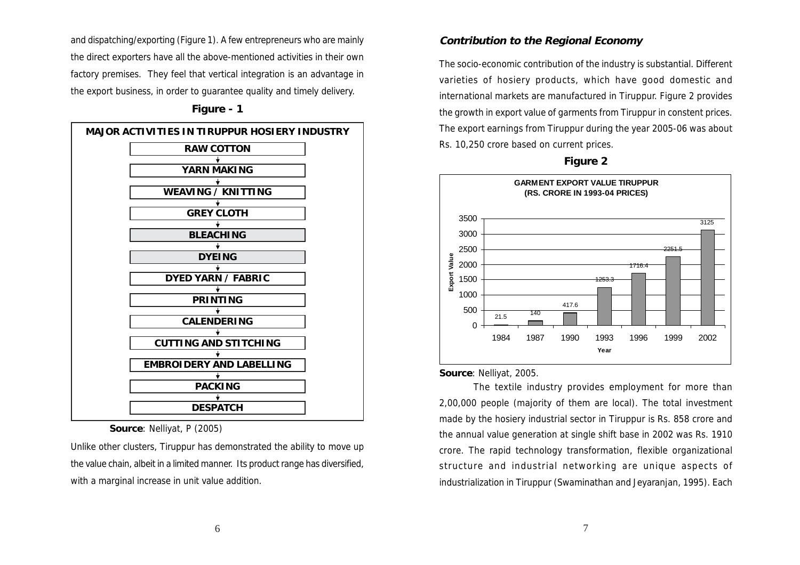and dispatching/exporting (Figure 1). A few entrepreneurs who are mainly the direct exporters have all the above-mentioned activities in their own factory premises. They feel that vertical integration is an advantage in the export business, in order to guarantee quality and timely delivery.

#### **Figure - 1**



 **Source**: Nelliyat, P (2005)

Unlike other clusters, Tiruppur has demonstrated the ability to move up the value chain, albeit in a limited manner. Its product range has diversified, with a marginal increase in unit value addition.

#### **Contribution to the Regional Economy**

The socio-economic contribution of the industry is substantial. Different varieties of hosiery products, which have good domestic and international markets are manufactured in Tiruppur. Figure 2 provides the growth in export value of garments from Tiruppur in constent prices. The export earnings from Tiruppur during the year 2005-06 was about Rs. 10,250 crore based on current prices.



**Figure 2**

#### **Source**: Nelliyat, 2005.

The textile industry provides employment for more than 2,00,000 people (majority of them are local). The total investment made by the hosiery industrial sector in Tiruppur is Rs. 858 crore and the annual value generation at single shift base in 2002 was Rs. 1910 crore. The rapid technology transformation, flexible organizational structure and industrial networking are unique aspects of industrialization in Tiruppur (Swaminathan and Jeyaranjan, 1995). Each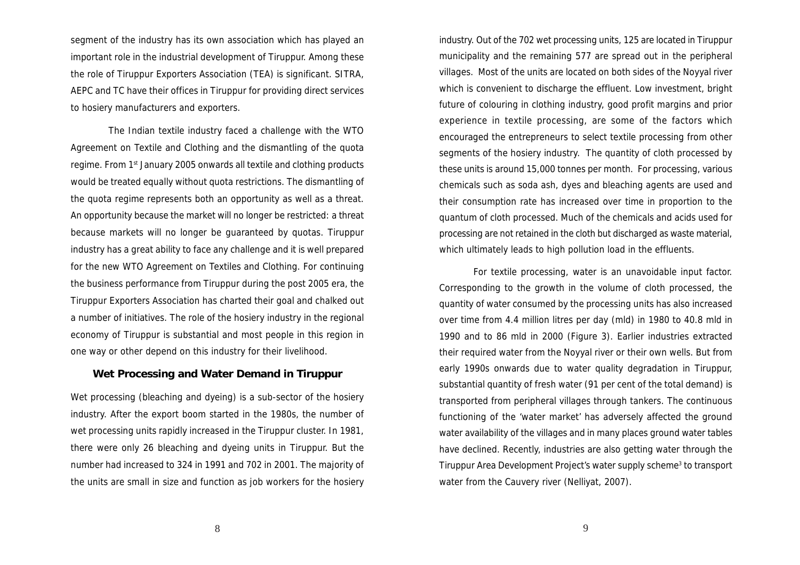segment of the industry has its own association which has played an important role in the industrial development of Tiruppur. Among these the role of Tiruppur Exporters Association (TEA) is significant. SITRA, AEPC and TC have their offices in Tiruppur for providing direct services to hosiery manufacturers and exporters.

 The Indian textile industry faced a challenge with the WTO Agreement on Textile and Clothing and the dismantling of the quota regime. From 1st January 2005 onwards all textile and clothing products would be treated equally without quota restrictions. The dismantling of the quota regime represents both an opportunity as well as a threat. An opportunity because the market will no longer be restricted: a threat because markets will no longer be guaranteed by quotas. Tiruppur industry has a great ability to face any challenge and it is well prepared for the new WTO Agreement on Textiles and Clothing. For continuing the business performance from Tiruppur during the post 2005 era, the Tiruppur Exporters Association has charted their goal and chalked out a number of initiatives. The role of the hosiery industry in the regional economy of Tiruppur is substantial and most people in this region in one way or other depend on this industry for their livelihood.

## **Wet Processing and Water Demand in Tiruppur**

Wet processing (bleaching and dyeing) is a sub-sector of the hosiery industry. After the export boom started in the 1980s, the number of wet processing units rapidly increased in the Tiruppur cluster. In 1981, there were only 26 bleaching and dyeing units in Tiruppur. But the number had increased to 324 in 1991 and 702 in 2001. The majority of the units are small in size and function as job workers for the hosiery industry. Out of the 702 wet processing units, 125 are located in Tiruppur municipality and the remaining 577 are spread out in the peripheral villages. Most of the units are located on both sides of the Noyyal river which is convenient to discharge the effluent. Low investment, bright future of colouring in clothing industry, good profit margins and prior experience in textile processing, are some of the factors which encouraged the entrepreneurs to select textile processing from other segments of the hosiery industry. The quantity of cloth processed by these units is around 15,000 tonnes per month. For processing, various chemicals such as soda ash, dyes and bleaching agents are used and their consumption rate has increased over time in proportion to the quantum of cloth processed. Much of the chemicals and acids used for processing are not retained in the cloth but discharged as waste material, which ultimately leads to high pollution load in the effluents.

For textile processing, water is an unavoidable input factor. Corresponding to the growth in the volume of cloth processed, the quantity of water consumed by the processing units has also increased over time from 4.4 million litres per day (mld) in 1980 to 40.8 mld in 1990 and to 86 mld in 2000 (Figure 3). Earlier industries extracted their required water from the Noyyal river or their own wells. But from early 1990s onwards due to water quality degradation in Tiruppur, substantial quantity of fresh water (91 per cent of the total demand) is transported from peripheral villages through tankers. The continuous functioning of the 'water market' has adversely affected the ground water availability of the villages and in many places ground water tables have declined. Recently, industries are also getting water through the Tiruppur Area Development Project's water supply scheme<sup>3</sup> to transport water from the Cauvery river (Nelliyat, 2007).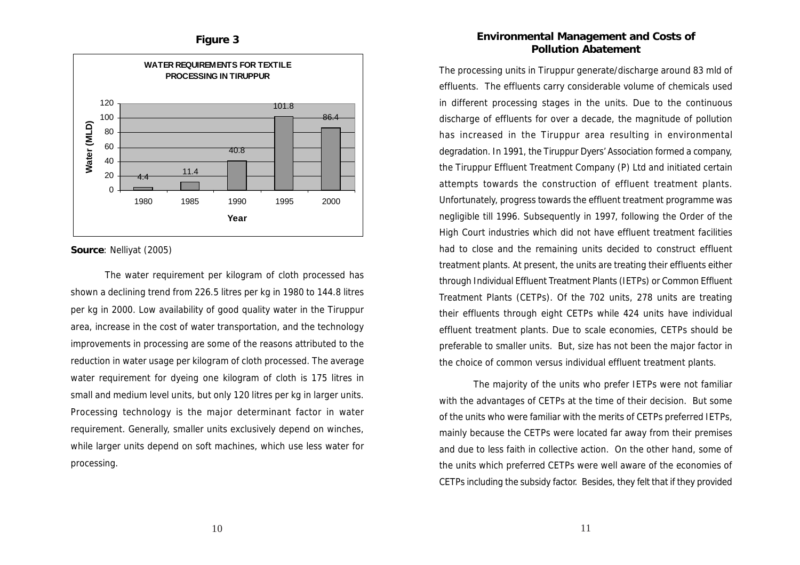



**Source**: Nelliyat (2005)

The water requirement per kilogram of cloth processed has shown a declining trend from 226.5 litres per kg in 1980 to 144.8 litres per kg in 2000. Low availability of good quality water in the Tiruppur area, increase in the cost of water transportation, and the technology improvements in processing are some of the reasons attributed to the reduction in water usage per kilogram of cloth processed. The average water requirement for dyeing one kilogram of cloth is 175 litres in small and medium level units, but only 120 litres per kg in larger units. Processing technology is the major determinant factor in water requirement. Generally, smaller units exclusively depend on winches, while larger units depend on soft machines, which use less water for processing.

### **Environmental Management and Costs of Pollution Abatement**

The processing units in Tiruppur generate/discharge around 83 mld of effluents. The effluents carry considerable volume of chemicals used in different processing stages in the units. Due to the continuous discharge of effluents for over a decade, the magnitude of pollution has increased in the Tiruppur area resulting in environmental degradation. In 1991, the Tiruppur Dyers' Association formed a company, the Tiruppur Effluent Treatment Company (P) Ltd and initiated certain attempts towards the construction of effluent treatment plants. Unfortunately, progress towards the effluent treatment programme was negligible till 1996. Subsequently in 1997, following the Order of the High Court industries which did not have effluent treatment facilities had to close and the remaining units decided to construct effluent treatment plants. At present, the units are treating their effluents either through Individual Effluent Treatment Plants (IETPs) or Common Effluent Treatment Plants (CETPs). Of the 702 units, 278 units are treating their effluents through eight CETPs while 424 units have individual effluent treatment plants. Due to scale economies, CETPs should be preferable to smaller units. But, size has not been the major factor in the choice of common versus individual effluent treatment plants.

The majority of the units who prefer IETPs were not familiar with the advantages of CETPs at the time of their decision. But some of the units who were familiar with the merits of CETPs preferred IETPs, mainly because the CETPs were located far away from their premises and due to less faith in collective action. On the other hand, some of the units which preferred CETPs were well aware of the economies of CETPs including the subsidy factor. Besides, they felt that if they provided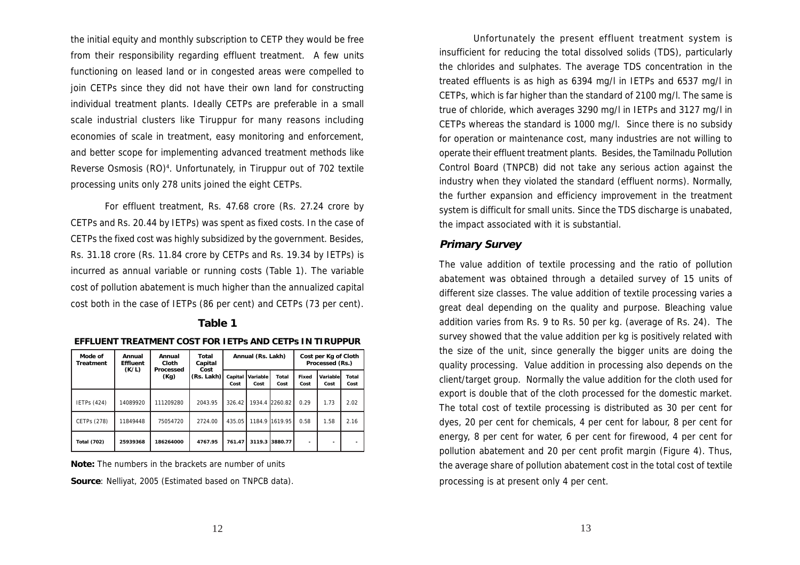the initial equity and monthly subscription to CETP they would be free from their responsibility regarding effluent treatment. A few units functioning on leased land or in congested areas were compelled to join CETPs since they did not have their own land for constructing individual treatment plants. Ideally CETPs are preferable in a small scale industrial clusters like Tiruppur for many reasons including economies of scale in treatment, easy monitoring and enforcement, and better scope for implementing advanced treatment methods like Reverse Osmosis (RO)<sup>4</sup>. Unfortunately, in Tiruppur out of 702 textile processing units only 278 units joined the eight CETPs.

For effluent treatment, Rs. 47.68 crore (Rs. 27.24 crore by CETPs and Rs. 20.44 by IETPs) was spent as fixed costs. In the case of CETPs the fixed cost was highly subsidized by the government. Besides, Rs. 31.18 crore (Rs. 11.84 crore by CETPs and Rs. 19.34 by IETPs) is incurred as annual variable or running costs (Table 1). The variable cost of pollution abatement is much higher than the annualized capital cost both in the case of IETPs (86 per cent) and CETPs (73 per cent).

## **Table 1**

| Mode of<br>Treatment | Annual<br>Effluent | Annual<br>Cloth   | Total<br>Capital   |                 | Annual (Rs. Lakh)       |                |               | Cost per Kg of Cloth<br>Processed (Rs.) |               |  |
|----------------------|--------------------|-------------------|--------------------|-----------------|-------------------------|----------------|---------------|-----------------------------------------|---------------|--|
|                      | (K/L)              | Processed<br>(Kg) | Cost<br>(Rs. Lakh) | Capital<br>Cost | <b>Variable</b><br>Cost | Total<br>Cost  | Fixed<br>Cost | Variable<br>Cost                        | Total<br>Cost |  |
| <b>IETPs (424)</b>   | 14089920           | 111209280         | 2043.95            | 326.42          |                         | 1934.4 2260.82 | 0.29          | 1.73                                    | 2.02          |  |
| CETPs (278)          | 11849448           | 75054720          | 2724.00            | 435.05          | 1184.9                  | 1619.95        | 0.58          | 1.58                                    | 2.16          |  |
| <b>Total (702)</b>   | 25939368           | 186264000         | 4767.95            | 761.47          | 3119.3                  | 3880.77        |               |                                         |               |  |

**Note:** The numbers in the brackets are number of units

**Source**: Nelliyat, 2005 (Estimated based on TNPCB data).

Unfortunately the present effluent treatment system is insufficient for reducing the total dissolved solids (TDS), particularly the chlorides and sulphates. The average TDS concentration in the treated effluents is as high as 6394 mg/l in IETPs and 6537 mg/l in CETPs, which is far higher than the standard of 2100 mg/l. The same is true of chloride, which averages 3290 mg/l in IETPs and 3127 mg/l in CETPs whereas the standard is 1000 mg/l. Since there is no subsidy for operation or maintenance cost, many industries are not willing to operate their effluent treatment plants. Besides, the Tamilnadu Pollution Control Board (TNPCB) did not take any serious action against the industry when they violated the standard (effluent norms). Normally, the further expansion and efficiency improvement in the treatment system is difficult for small units. Since the TDS discharge is unabated, the impact associated with it is substantial.

#### **Primary Survey**

The value addition of textile processing and the ratio of pollution abatement was obtained through a detailed survey of 15 units of different size classes. The value addition of textile processing varies a great deal depending on the quality and purpose. Bleaching value addition varies from Rs. 9 to Rs. 50 per kg. (average of Rs. 24). The survey showed that the value addition per kg is positively related with the size of the unit, since generally the bigger units are doing the quality processing. Value addition in processing also depends on the client/target group. Normally the value addition for the cloth used for export is double that of the cloth processed for the domestic market. The total cost of textile processing is distributed as 30 per cent for dyes, 20 per cent for chemicals, 4 per cent for labour, 8 per cent for energy, 8 per cent for water, 6 per cent for firewood, 4 per cent for pollution abatement and 20 per cent profit margin (Figure 4). Thus, the average share of pollution abatement cost in the total cost of textile processing is at present only 4 per cent.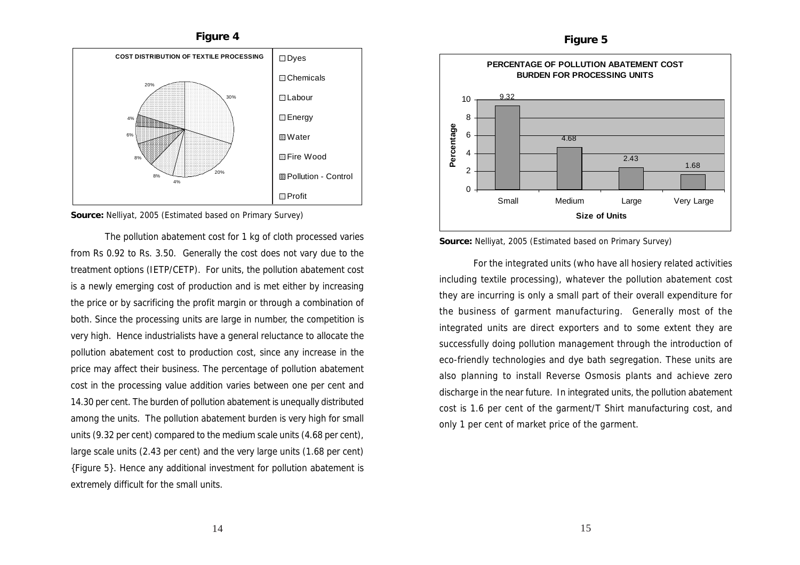



**Source:** Nelliyat, 2005 (Estimated based on Primary Survey)

The pollution abatement cost for 1 kg of cloth processed varies from Rs 0.92 to Rs. 3.50. Generally the cost does not vary due to the treatment options (IETP/CETP). For units, the pollution abatement cost is a newly emerging cost of production and is met either by increasing the price or by sacrificing the profit margin or through a combination of both. Since the processing units are large in number, the competition is very high. Hence industrialists have a general reluctance to allocate the pollution abatement cost to production cost, since any increase in the price may affect their business. The percentage of pollution abatement cost in the processing value addition varies between one per cent and 14.30 per cent. The burden of pollution abatement is unequally distributed among the units. The pollution abatement burden is very high for small units (9.32 per cent) compared to the medium scale units (4.68 per cent), large scale units (2.43 per cent) and the very large units (1.68 per cent) {Figure 5}. Hence any additional investment for pollution abatement is extremely difficult for the small units.





For the integrated units (who have all hosiery related activities including textile processing), whatever the pollution abatement cost they are incurring is only a small part of their overall expenditure for the business of garment manufacturing. Generally most of the integrated units are direct exporters and to some extent they are successfully doing pollution management through the introduction of eco-friendly technologies and dye bath segregation. These units are also planning to install Reverse Osmosis plants and achieve zero discharge in the near future. In integrated units, the pollution abatement cost is 1.6 per cent of the garment/T Shirt manufacturing cost, and only 1 per cent of market price of the garment.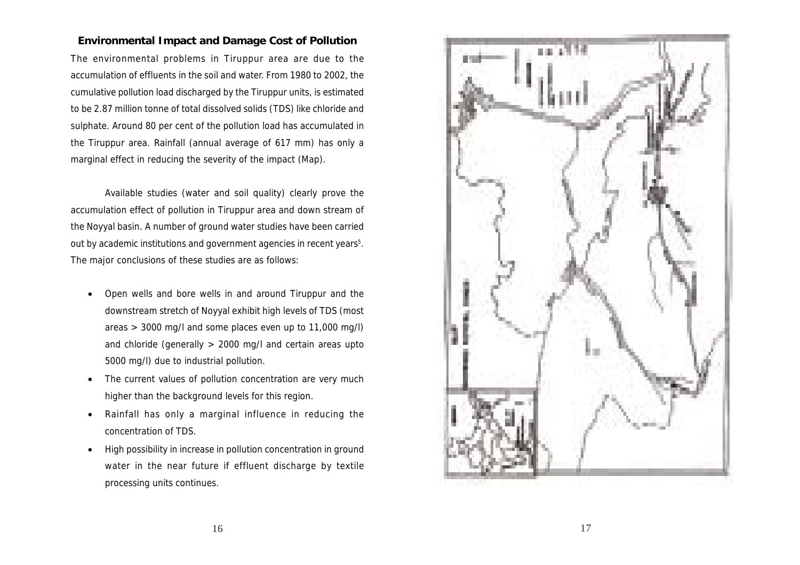#### **Environmental Impact and Damage Cost of Pollution**

The environmental problems in Tiruppur area are due to the accumulation of effluents in the soil and water. From 1980 to 2002, the cumulative pollution load discharged by the Tiruppur units, is estimated to be 2.87 million tonne of total dissolved solids (TDS) like chloride and sulphate. Around 80 per cent of the pollution load has accumulated in the Tiruppur area. Rainfall (annual average of 617 mm) has only a marginal effect in reducing the severity of the impact (Map).

Available studies (water and soil quality) clearly prove the accumulation effect of pollution in Tiruppur area and down stream of the Noyyal basin. A number of ground water studies have been carried out by academic institutions and government agencies in recent years<sup>5</sup>. The major conclusions of these studies are as follows:

- Open wells and bore wells in and around Tiruppur and the downstream stretch of Noyyal exhibit high levels of TDS (most areas > 3000 mg/l and some places even up to 11,000 mg/l) and chloride (generally > 2000 mg/l and certain areas upto 5000 mg/l) due to industrial pollution.
- The current values of pollution concentration are very much higher than the background levels for this region.
- Rainfall has only a marginal influence in reducing the concentration of TDS.
- High possibility in increase in pollution concentration in ground water in the near future if effluent discharge by textile processing units continues.

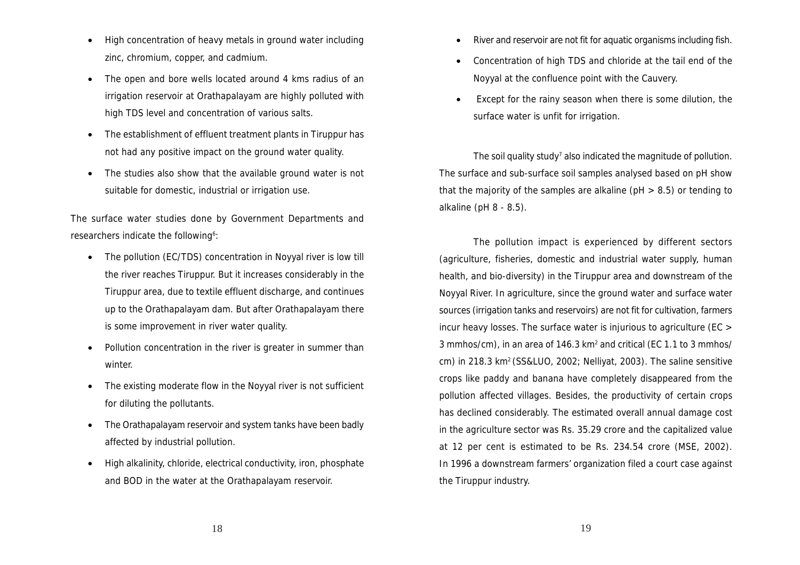- High concentration of heavy metals in ground water including zinc, chromium, copper, and cadmium.
- The open and bore wells located around 4 kms radius of an irrigation reservoir at Orathapalayam are highly polluted with high TDS level and concentration of various salts.
- The establishment of effluent treatment plants in Tiruppur has not had any positive impact on the ground water quality.
- The studies also show that the available ground water is not suitable for domestic, industrial or irrigation use.

The surface water studies done by Government Departments and researchers indicate the following<sup>6</sup>:

- The pollution (EC/TDS) concentration in Noyyal river is low till the river reaches Tiruppur. But it increases considerably in the Tiruppur area, due to textile effluent discharge, and continues up to the Orathapalayam dam. But after Orathapalayam there is some improvement in river water quality.
- Pollution concentration in the river is greater in summer than winter.
- The existing moderate flow in the Noyyal river is not sufficient for diluting the pollutants.
- The Orathapalayam reservoir and system tanks have been badly affected by industrial pollution.
- High alkalinity, chloride, electrical conductivity, iron, phosphate and BOD in the water at the Orathapalayam reservoir.
- River and reservoir are not fit for aquatic organisms including fish.
- Concentration of high TDS and chloride at the tail end of the Noyyal at the confluence point with the Cauvery.
- Except for the rainy season when there is some dilution, the surface water is unfit for irrigation.

The soil quality study<sup>7</sup> also indicated the magnitude of pollution. The surface and sub-surface soil samples analysed based on pH show that the majority of the samples are alkaline (pH > 8.5) or tending to alkaline (pH 8 - 8.5).

The pollution impact is experienced by different sectors (agriculture, fisheries, domestic and industrial water supply, human health, and bio-diversity) in the Tiruppur area and downstream of the Noyyal River. In agriculture, since the ground water and surface water sources (irrigation tanks and reservoirs) are not fit for cultivation, farmers incur heavy losses. The surface water is injurious to agriculture (EC > 3 mmhos/cm), in an area of 146.3 km<sup>2</sup> and critical (EC 1.1 to 3 mmhos/ cm) in 218.3 km2 (SS&LUO, 2002; Nelliyat, 2003). The saline sensitive crops like paddy and banana have completely disappeared from the pollution affected villages. Besides, the productivity of certain crops has declined considerably. The estimated overall annual damage cost in the agriculture sector was Rs. 35.29 crore and the capitalized value at 12 per cent is estimated to be Rs. 234.54 crore (MSE, 2002). In 1996 a downstream farmers' organization filed a court case against the Tiruppur industry.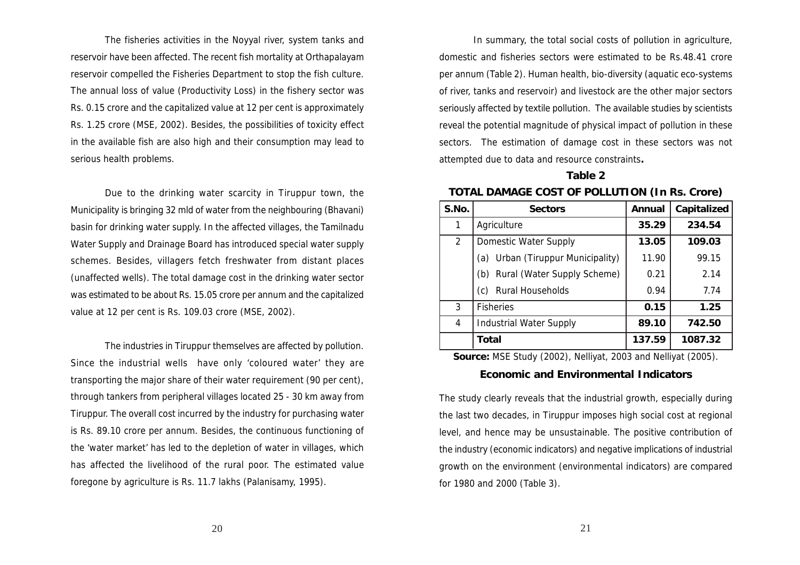The fisheries activities in the Noyyal river, system tanks and reservoir have been affected. The recent fish mortality at Orthapalayam reservoir compelled the Fisheries Department to stop the fish culture. The annual loss of value (Productivity Loss) in the fishery sector was Rs. 0.15 crore and the capitalized value at 12 per cent is approximately Rs. 1.25 crore (MSE, 2002). Besides, the possibilities of toxicity effect in the available fish are also high and their consumption may lead to serious health problems.

Due to the drinking water scarcity in Tiruppur town, the Municipality is bringing 32 mld of water from the neighbouring (Bhavani) basin for drinking water supply. In the affected villages, the Tamilnadu Water Supply and Drainage Board has introduced special water supply schemes. Besides, villagers fetch freshwater from distant places (unaffected wells). The total damage cost in the drinking water sector was estimated to be about Rs. 15.05 crore per annum and the capitalized value at 12 per cent is Rs. 109.03 crore (MSE, 2002).

The industries in Tiruppur themselves are affected by pollution. Since the industrial wells have only 'coloured water' they are transporting the major share of their water requirement (90 per cent), through tankers from peripheral villages located 25 - 30 km away from Tiruppur. The overall cost incurred by the industry for purchasing water is Rs. 89.10 crore per annum. Besides, the continuous functioning of the 'water market' has led to the depletion of water in villages, which has affected the livelihood of the rural poor. The estimated value foregone by agriculture is Rs. 11.7 lakhs (Palanisamy, 1995).

In summary, the total social costs of pollution in agriculture, domestic and fisheries sectors were estimated to be Rs.48.41 crore per annum (Table 2). Human health, bio-diversity (aquatic eco-systems of river, tanks and reservoir) and livestock are the other major sectors seriously affected by textile pollution. The available studies by scientists reveal the potential magnitude of physical impact of pollution in these sectors. The estimation of damage cost in these sectors was not attempted due to data and resource constraints**.**

# **Table 2 TOTAL DAMAGE COST OF POLLUTION (In Rs. Crore)**

| S.No. | <b>Sectors</b>                       | Annual | Capitalized |  |
|-------|--------------------------------------|--------|-------------|--|
|       | Agriculture                          | 35.29  | 234.54      |  |
| 2     | Domestic Water Supply                | 13.05  | 109.03      |  |
|       | Urban (Tiruppur Municipality)<br>(a) | 11.90  | 99.15       |  |
|       | Rural (Water Supply Scheme)<br>(b)   | 0.21   | 2.14        |  |
|       | Rural Households<br>(c)              | 0.94   | 7.74        |  |
| 3     | <b>Fisheries</b>                     | 0.15   | 1.25        |  |
| 4     | <b>Industrial Water Supply</b>       | 89.10  | 742.50      |  |
|       | Total                                | 137.59 | 1087.32     |  |

**Source:** MSE Study (2002), Nelliyat, 2003 and Nelliyat (2005).

## **Economic and Environmental Indicators**

The study clearly reveals that the industrial growth, especially during the last two decades, in Tiruppur imposes high social cost at regional level, and hence may be unsustainable. The positive contribution of the industry (economic indicators) and negative implications of industrial growth on the environment (environmental indicators) are compared for 1980 and 2000 (Table 3).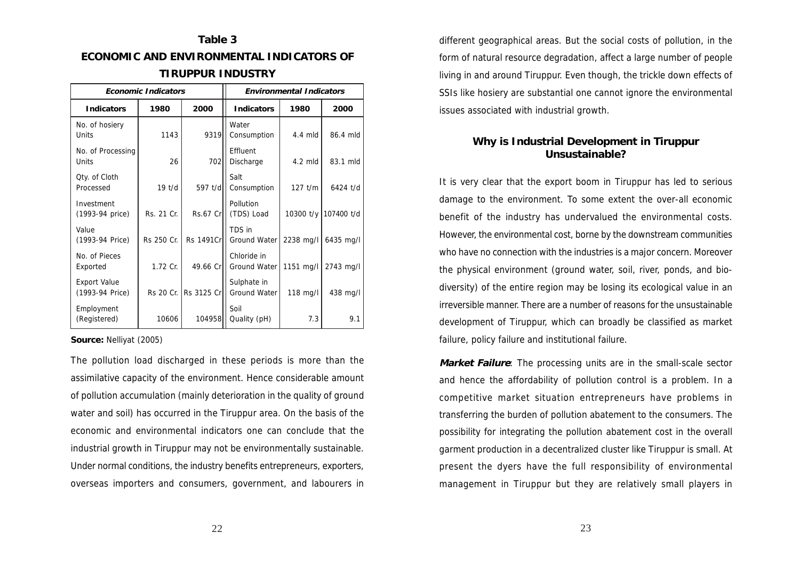# **Table 3 ECONOMIC AND ENVIRONMENTAL INDICATORS OF TIRUPPUR INDUSTRY**

| <b>Economic Indicators</b>             |              |                         | <b>Environmental Indicators</b>         |           |                      |  |
|----------------------------------------|--------------|-------------------------|-----------------------------------------|-----------|----------------------|--|
| <b>Indicators</b>                      | 1980         | 2000                    | Indicators                              | 1980      | 2000                 |  |
| No. of hosiery<br>Units                | 1143         | 9319 <sub>II</sub>      | Water<br>Consumption                    | $4.4$ mld | 86.4 mld             |  |
| No. of Processing<br>Units             | 26           | 702                     | Effluent<br>Discharge                   | $4.2$ mld | 83.1 mld             |  |
| Qty. of Cloth<br>Processed             | 19 t/d       | 597 t/d                 | Salt<br>Consumption                     | $127$ t/m | 6424 t/d             |  |
| Investment<br>(1993-94 price)          | Rs. 21 Cr. 1 | $Rs.67$ Cr              | Pollution<br>(TDS) Load                 |           | 10300 t/y 107400 t/d |  |
| Value<br>(1993-94 Price)               | Rs 250 Cr.   | Rs 1491Crll             | TDS in<br>Ground Water                  | 2238 mg/l | 6435 mg/l            |  |
| No. of Pieces<br>Exported              | 1.72 Cr.     | 49.66 Crll              | Chloride in<br>Ground Water   1151 mg/l |           | 2743 mg/l            |  |
| <b>Export Value</b><br>(1993-94 Price) |              | Rs 20 Cr. 1 Rs 3125 Cr. | Sulphate in<br>Ground Water             | 118 mg/l  | 438 mg/l             |  |
| Employment<br>(Registered)             | 10606        | 104958                  | Soil<br>Quality (pH)                    | 7.3       | 9.1                  |  |

**Source:** Nelliyat (2005)

The pollution load discharged in these periods is more than the assimilative capacity of the environment. Hence considerable amount of pollution accumulation (mainly deterioration in the quality of ground water and soil) has occurred in the Tiruppur area. On the basis of the economic and environmental indicators one can conclude that the industrial growth in Tiruppur may not be environmentally sustainable. Under normal conditions, the industry benefits entrepreneurs, exporters, overseas importers and consumers, government, and labourers in

different geographical areas. But the social costs of pollution, in the form of natural resource degradation, affect a large number of people living in and around Tiruppur. Even though, the trickle down effects of SSIs like hosiery are substantial one cannot ignore the environmental issues associated with industrial growth.

# **Why is Industrial Development in Tiruppur Unsustainable?**

It is very clear that the export boom in Tiruppur has led to serious damage to the environment. To some extent the over-all economic benefit of the industry has undervalued the environmental costs. However, the environmental cost, borne by the downstream communities who have no connection with the industries is a major concern. Moreover the physical environment (ground water, soil, river, ponds, and biodiversity) of the entire region may be losing its ecological value in an irreversible manner. There are a number of reasons for the unsustainable development of Tiruppur, which can broadly be classified as market failure, policy failure and institutional failure.

**Market Failure**: The processing units are in the small-scale sector and hence the affordability of pollution control is a problem. In a competitive market situation entrepreneurs have problems in transferring the burden of pollution abatement to the consumers. The possibility for integrating the pollution abatement cost in the overall garment production in a decentralized cluster like Tiruppur is small. At present the dyers have the full responsibility of environmental management in Tiruppur but they are relatively small players in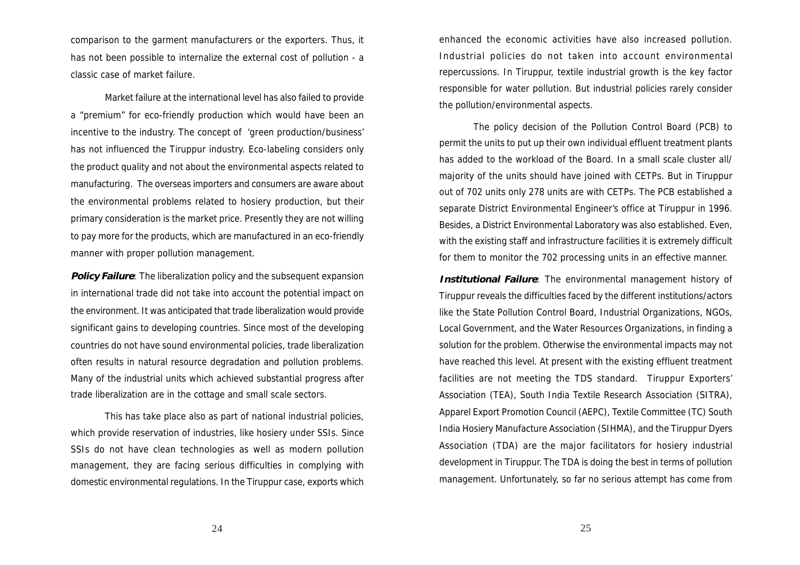comparison to the garment manufacturers or the exporters. Thus, it has not been possible to internalize the external cost of pollution - a classic case of market failure.

Market failure at the international level has also failed to provide a "premium" for eco-friendly production which would have been an incentive to the industry. The concept of 'green production/business' has not influenced the Tiruppur industry. Eco-labeling considers only the product quality and not about the environmental aspects related to manufacturing. The overseas importers and consumers are aware about the environmental problems related to hosiery production, but their primary consideration is the market price. Presently they are not willing to pay more for the products, which are manufactured in an eco-friendly manner with proper pollution management.

**Policy Failure**: The liberalization policy and the subsequent expansion in international trade did not take into account the potential impact on the environment. It was anticipated that trade liberalization would provide significant gains to developing countries. Since most of the developing countries do not have sound environmental policies, trade liberalization often results in natural resource degradation and pollution problems. Many of the industrial units which achieved substantial progress after trade liberalization are in the cottage and small scale sectors.

This has take place also as part of national industrial policies, which provide reservation of industries, like hosiery under SSIs. Since SSIs do not have clean technologies as well as modern pollution management, they are facing serious difficulties in complying with domestic environmental regulations. In the Tiruppur case, exports which

enhanced the economic activities have also increased pollution. Industrial policies do not taken into account environmental repercussions. In Tiruppur, textile industrial growth is the key factor responsible for water pollution. But industrial policies rarely consider the pollution/environmental aspects.

The policy decision of the Pollution Control Board (PCB) to permit the units to put up their own individual effluent treatment plants has added to the workload of the Board. In a small scale cluster all/ majority of the units should have joined with CETPs. But in Tiruppur out of 702 units only 278 units are with CETPs. The PCB established a separate District Environmental Engineer's office at Tiruppur in 1996. Besides, a District Environmental Laboratory was also established. Even, with the existing staff and infrastructure facilities it is extremely difficult for them to monitor the 702 processing units in an effective manner.

**Institutional Failure**: The environmental management history of Tiruppur reveals the difficulties faced by the different institutions/actors like the State Pollution Control Board, Industrial Organizations, NGOs, Local Government, and the Water Resources Organizations, in finding a solution for the problem. Otherwise the environmental impacts may not have reached this level. At present with the existing effluent treatment facilities are not meeting the TDS standard. Tiruppur Exporters' Association (TEA), South India Textile Research Association (SITRA), Apparel Export Promotion Council (AEPC), Textile Committee (TC) South India Hosiery Manufacture Association (SIHMA), and the Tiruppur Dyers Association (TDA) are the major facilitators for hosiery industrial development in Tiruppur. The TDA is doing the best in terms of pollution management. Unfortunately, so far no serious attempt has come from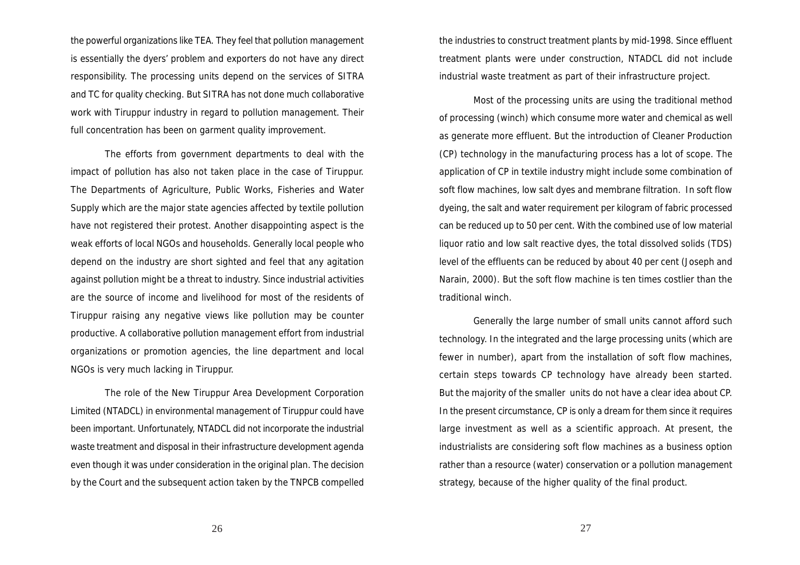the powerful organizations like TEA. They feel that pollution management is essentially the dyers' problem and exporters do not have any direct responsibility. The processing units depend on the services of SITRA and TC for quality checking. But SITRA has not done much collaborative work with Tiruppur industry in regard to pollution management. Their full concentration has been on garment quality improvement.

The efforts from government departments to deal with the impact of pollution has also not taken place in the case of Tiruppur. The Departments of Agriculture, Public Works, Fisheries and Water Supply which are the major state agencies affected by textile pollution have not registered their protest. Another disappointing aspect is the weak efforts of local NGOs and households. Generally local people who depend on the industry are short sighted and feel that any agitation against pollution might be a threat to industry. Since industrial activities are the source of income and livelihood for most of the residents of Tiruppur raising any negative views like pollution may be counter productive. A collaborative pollution management effort from industrial organizations or promotion agencies, the line department and local NGOs is very much lacking in Tiruppur.

The role of the New Tiruppur Area Development Corporation Limited (NTADCL) in environmental management of Tiruppur could have been important. Unfortunately, NTADCL did not incorporate the industrial waste treatment and disposal in their infrastructure development agenda even though it was under consideration in the original plan. The decision by the Court and the subsequent action taken by the TNPCB compelled

the industries to construct treatment plants by mid-1998. Since effluent treatment plants were under construction, NTADCL did not include industrial waste treatment as part of their infrastructure project.

Most of the processing units are using the traditional method of processing (winch) which consume more water and chemical as well as generate more effluent. But the introduction of Cleaner Production (CP) technology in the manufacturing process has a lot of scope. The application of CP in textile industry might include some combination of soft flow machines, low salt dyes and membrane filtration. In soft flow dyeing, the salt and water requirement per kilogram of fabric processed can be reduced up to 50 per cent. With the combined use of low material liquor ratio and low salt reactive dyes, the total dissolved solids (TDS) level of the effluents can be reduced by about 40 per cent (Joseph and Narain, 2000). But the soft flow machine is ten times costlier than the traditional winch.

Generally the large number of small units cannot afford such technology. In the integrated and the large processing units (which are fewer in number), apart from the installation of soft flow machines, certain steps towards CP technology have already been started. But the majority of the smaller units do not have a clear idea about CP. In the present circumstance, CP is only a dream for them since it requires large investment as well as a scientific approach. At present, the industrialists are considering soft flow machines as a business option rather than a resource (water) conservation or a pollution management strategy, because of the higher quality of the final product.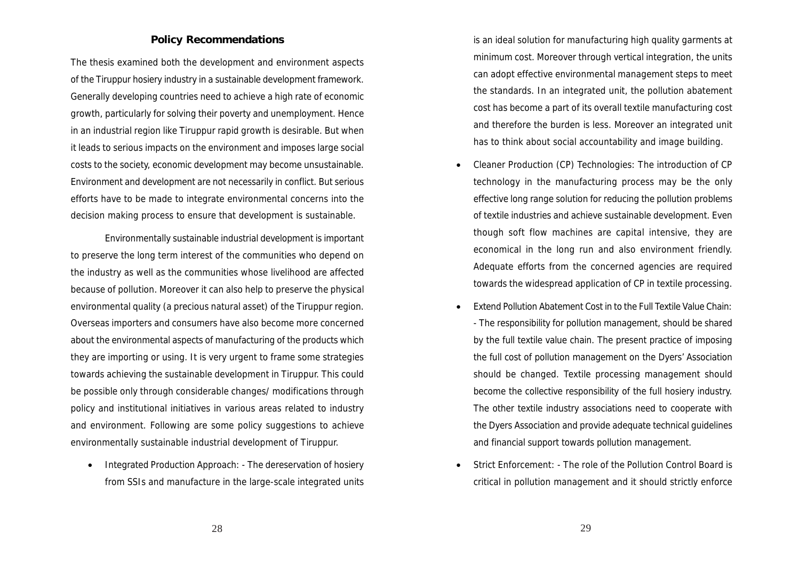#### **Policy Recommendations**

The thesis examined both the development and environment aspects of the Tiruppur hosiery industry in a sustainable development framework. Generally developing countries need to achieve a high rate of economic growth, particularly for solving their poverty and unemployment. Hence in an industrial region like Tiruppur rapid growth is desirable. But when it leads to serious impacts on the environment and imposes large social costs to the society, economic development may become unsustainable. Environment and development are not necessarily in conflict. But serious efforts have to be made to integrate environmental concerns into the decision making process to ensure that development is sustainable.

Environmentally sustainable industrial development is important to preserve the long term interest of the communities who depend on the industry as well as the communities whose livelihood are affected because of pollution. Moreover it can also help to preserve the physical environmental quality (a precious natural asset) of the Tiruppur region. Overseas importers and consumers have also become more concerned about the environmental aspects of manufacturing of the products which they are importing or using. It is very urgent to frame some strategies towards achieving the sustainable development in Tiruppur. This could be possible only through considerable changes/ modifications through policy and institutional initiatives in various areas related to industry and environment. Following are some policy suggestions to achieve environmentally sustainable industrial development of Tiruppur.

• Integrated Production Approach: - The dereservation of hosiery from SSIs and manufacture in the large-scale integrated units is an ideal solution for manufacturing high quality garments at minimum cost. Moreover through vertical integration, the units can adopt effective environmental management steps to meet the standards. In an integrated unit, the pollution abatement cost has become a part of its overall textile manufacturing cost and therefore the burden is less. Moreover an integrated unit has to think about social accountability and image building.

- Cleaner Production (CP) Technologies: The introduction of CP technology in the manufacturing process may be the only effective long range solution for reducing the pollution problems of textile industries and achieve sustainable development. Even though soft flow machines are capital intensive, they are economical in the long run and also environment friendly. Adequate efforts from the concerned agencies are required towards the widespread application of CP in textile processing.
- Extend Pollution Abatement Cost in to the Full Textile Value Chain: - The responsibility for pollution management, should be shared by the full textile value chain. The present practice of imposing the full cost of pollution management on the Dyers' Association should be changed. Textile processing management should become the collective responsibility of the full hosiery industry. The other textile industry associations need to cooperate with the Dyers Association and provide adequate technical guidelines and financial support towards pollution management.
- Strict Enforcement: The role of the Pollution Control Board is critical in pollution management and it should strictly enforce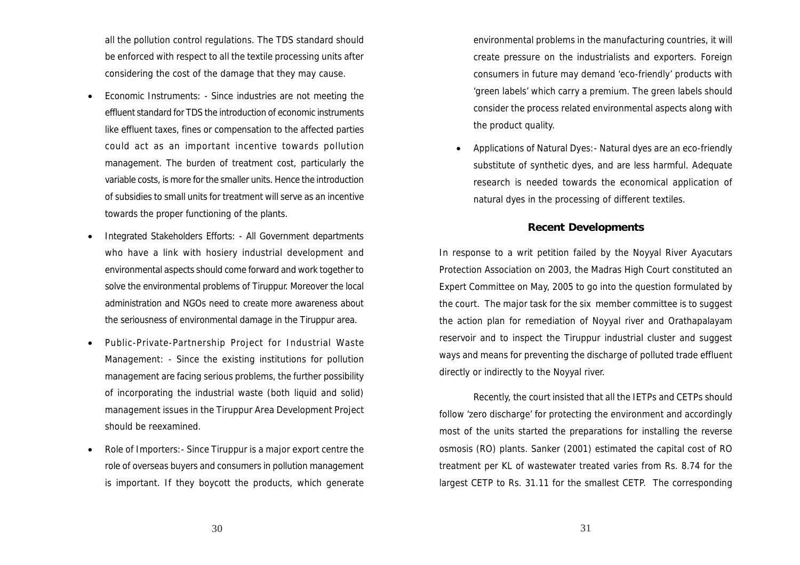all the pollution control regulations. The TDS standard should be enforced with respect to all the textile processing units after considering the cost of the damage that they may cause.

- Economic Instruments: Since industries are not meeting the effluent standard for TDS the introduction of economic instruments like effluent taxes, fines or compensation to the affected parties could act as an important incentive towards pollution management. The burden of treatment cost, particularly the variable costs, is more for the smaller units. Hence the introduction of subsidies to small units for treatment will serve as an incentive towards the proper functioning of the plants.
- Integrated Stakeholders Efforts: All Government departments who have a link with hosiery industrial development and environmental aspects should come forward and work together to solve the environmental problems of Tiruppur. Moreover the local administration and NGOs need to create more awareness about the seriousness of environmental damage in the Tiruppur area.
- Public-Private-Partnership Project for Industrial Waste Management: - Since the existing institutions for pollution management are facing serious problems, the further possibility of incorporating the industrial waste (both liquid and solid) management issues in the Tiruppur Area Development Project should be reexamined.
- Role of Importers:- Since Tiruppur is a major export centre the role of overseas buyers and consumers in pollution management is important. If they boycott the products, which generate
- environmental problems in the manufacturing countries, it will create pressure on the industrialists and exporters. Foreign consumers in future may demand 'eco-friendly' products with 'green labels' which carry a premium. The green labels should consider the process related environmental aspects along with the product quality.
- Applications of Natural Dyes:- Natural dyes are an eco-friendly substitute of synthetic dyes, and are less harmful. Adequate research is needed towards the economical application of natural dyes in the processing of different textiles.

#### **Recent Developments**

In response to a writ petition failed by the Noyyal River Ayacutars Protection Association on 2003, the Madras High Court constituted an Expert Committee on May, 2005 to go into the question formulated by the court. The major task for the six member committee is to suggest the action plan for remediation of Noyyal river and Orathapalayam reservoir and to inspect the Tiruppur industrial cluster and suggest ways and means for preventing the discharge of polluted trade effluent directly or indirectly to the Noyyal river.

Recently, the court insisted that all the IETPs and CETPs should follow 'zero discharge' for protecting the environment and accordingly most of the units started the preparations for installing the reverse osmosis (RO) plants. Sanker (2001) estimated the capital cost of RO treatment per KL of wastewater treated varies from Rs. 8.74 for the largest CETP to Rs. 31.11 for the smallest CETP. The corresponding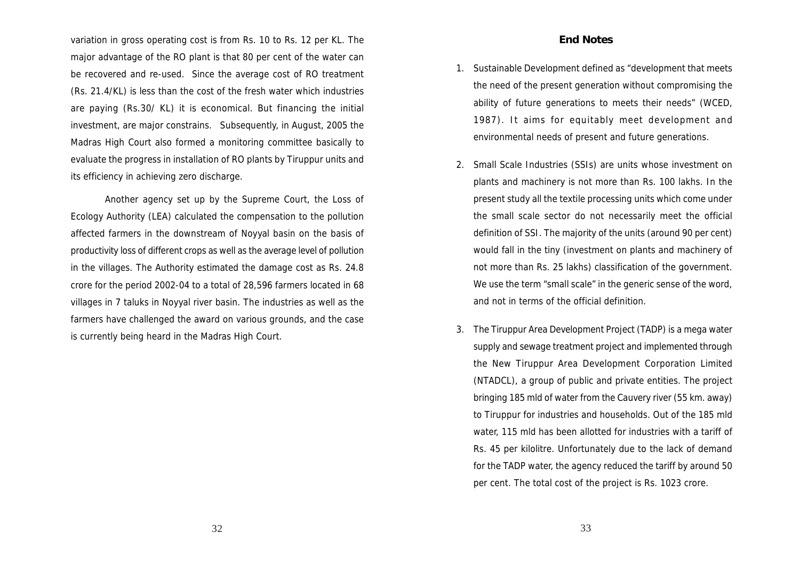variation in gross operating cost is from Rs. 10 to Rs. 12 per KL. The major advantage of the RO plant is that 80 per cent of the water can be recovered and re-used. Since the average cost of RO treatment (Rs. 21.4/KL) is less than the cost of the fresh water which industries are paying (Rs.30/ KL) it is economical. But financing the initial investment, are major constrains. Subsequently, in August, 2005 the Madras High Court also formed a monitoring committee basically to evaluate the progress in installation of RO plants by Tiruppur units and its efficiency in achieving zero discharge.

Another agency set up by the Supreme Court, the Loss of Ecology Authority (LEA) calculated the compensation to the pollution affected farmers in the downstream of Noyyal basin on the basis of productivity loss of different crops as well as the average level of pollution in the villages. The Authority estimated the damage cost as Rs. 24.8 crore for the period 2002-04 to a total of 28,596 farmers located in 68 villages in 7 taluks in Noyyal river basin. The industries as well as the farmers have challenged the award on various grounds, and the case is currently being heard in the Madras High Court.

- 1. Sustainable Development defined as "development that meets the need of the present generation without compromising the ability of future generations to meets their needs" (WCED, 1987). It aims for equitably meet development and environmental needs of present and future generations.
- 2. Small Scale Industries (SSIs) are units whose investment on plants and machinery is not more than Rs. 100 lakhs. In the present study all the textile processing units which come under the small scale sector do not necessarily meet the official definition of SSI. The majority of the units (around 90 per cent) would fall in the tiny (investment on plants and machinery of not more than Rs. 25 lakhs) classification of the government. We use the term "small scale" in the generic sense of the word, and not in terms of the official definition.
- 3. The Tiruppur Area Development Project (TADP) is a mega water supply and sewage treatment project and implemented through the New Tiruppur Area Development Corporation Limited (NTADCL), a group of public and private entities. The project bringing 185 mld of water from the Cauvery river (55 km. away) to Tiruppur for industries and households. Out of the 185 mld water, 115 mld has been allotted for industries with a tariff of Rs. 45 per kilolitre. Unfortunately due to the lack of demand for the TADP water, the agency reduced the tariff by around 50 per cent. The total cost of the project is Rs. 1023 crore.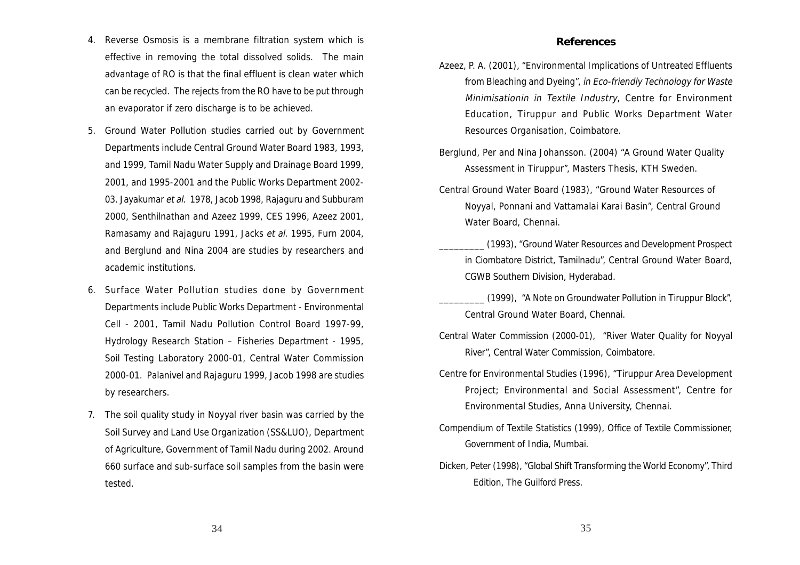- 4. Reverse Osmosis is a membrane filtration system which is effective in removing the total dissolved solids. The main advantage of RO is that the final effluent is clean water which can be recycled. The rejects from the RO have to be put through an evaporator if zero discharge is to be achieved.
- 5. Ground Water Pollution studies carried out by Government Departments include Central Ground Water Board 1983, 1993, and 1999, Tamil Nadu Water Supply and Drainage Board 1999, 2001, and 1995-2001 and the Public Works Department 2002- 03. Jayakumar et al. 1978, Jacob 1998, Rajaguru and Subburam 2000, Senthilnathan and Azeez 1999, CES 1996, Azeez 2001, Ramasamy and Rajaguru 1991, Jacks et al. 1995, Furn 2004, and Berglund and Nina 2004 are studies by researchers and academic institutions.
- 6. Surface Water Pollution studies done by Government Departments include Public Works Department - Environmental Cell - 2001, Tamil Nadu Pollution Control Board 1997-99, Hydrology Research Station – Fisheries Department - 1995, Soil Testing Laboratory 2000-01, Central Water Commission 2000-01. Palanivel and Rajaguru 1999, Jacob 1998 are studies by researchers.
- 7. The soil quality study in Noyyal river basin was carried by the Soil Survey and Land Use Organization (SS&LUO), Department of Agriculture, Government of Tamil Nadu during 2002. Around 660 surface and sub-surface soil samples from the basin were tested.

#### **References**

- Azeez, P. A. (2001), "Environmental Implications of Untreated Effluents from Bleaching and Dyeing", in Eco-friendly Technology for Waste Minimisationin in Textile Industry, Centre for Environment Education, Tiruppur and Public Works Department Water Resources Organisation, Coimbatore.
- Berglund, Per and Nina Johansson. (2004) "A Ground Water Quality Assessment in Tiruppur", Masters Thesis, KTH Sweden.
- Central Ground Water Board (1983), "Ground Water Resources of Noyyal, Ponnani and Vattamalai Karai Basin", Central Ground Water Board, Chennai.
	- \_\_\_\_\_\_\_\_\_ (1993), "Ground Water Resources and Development Prospect in Ciombatore District, Tamilnadu", Central Ground Water Board, CGWB Southern Division, Hyderabad.
	- \_\_\_\_\_\_\_\_\_ (1999), "A Note on Groundwater Pollution in Tiruppur Block", Central Ground Water Board, Chennai.
- Central Water Commission (2000-01), "River Water Quality for Noyyal River", Central Water Commission, Coimbatore.
- Centre for Environmental Studies (1996), "Tiruppur Area Development Project; Environmental and Social Assessment", Centre for Environmental Studies, Anna University, Chennai.
- Compendium of Textile Statistics (1999), Office of Textile Commissioner, Government of India, Mumbai.
- Dicken, Peter (1998), "Global Shift Transforming the World Economy", Third Edition, The Guilford Press.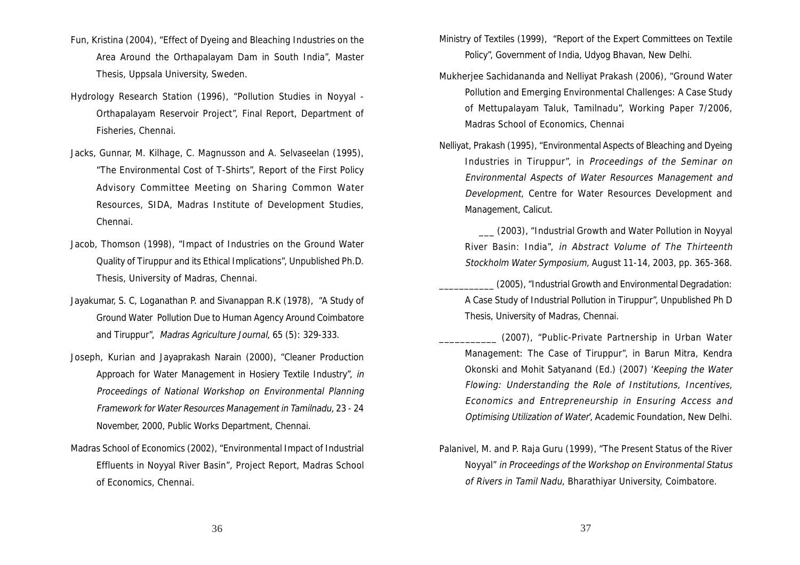- Fun, Kristina (2004), "Effect of Dyeing and Bleaching Industries on the Area Around the Orthapalayam Dam in South India", Master Thesis, Uppsala University, Sweden.
- Hydrology Research Station (1996), "Pollution Studies in Noyyal Orthapalayam Reservoir Project", Final Report, Department of Fisheries, Chennai.
- Jacks, Gunnar, M. Kilhage, C. Magnusson and A. Selvaseelan (1995), "The Environmental Cost of T-Shirts", Report of the First Policy Advisory Committee Meeting on Sharing Common Water Resources, SIDA, Madras Institute of Development Studies, Chennai.
- Jacob, Thomson (1998), "Impact of Industries on the Ground Water Quality of Tiruppur and its Ethical Implications", Unpublished Ph.D. Thesis, University of Madras, Chennai.
- Jayakumar, S. C, Loganathan P. and Sivanappan R.K (1978), "A Study of Ground Water Pollution Due to Human Agency Around Coimbatore and Tiruppur", Madras Agriculture Journal, 65 (5): 329-333.
- Joseph, Kurian and Jayaprakash Narain (2000), "Cleaner Production Approach for Water Management in Hosiery Textile Industry", in Proceedings of National Workshop on Environmental Planning Framework for Water Resources Management in Tamilnadu, 23 - 24 November, 2000, Public Works Department, Chennai.
- Madras School of Economics (2002), "Environmental Impact of Industrial Effluents in Noyyal River Basin", Project Report, Madras School of Economics, Chennai.
- Ministry of Textiles (1999), "Report of the Expert Committees on Textile Policy", Government of India, Udyog Bhavan, New Delhi.
- Mukherjee Sachidananda and Nelliyat Prakash (2006), "Ground Water Pollution and Emerging Environmental Challenges: A Case Study of Mettupalayam Taluk, Tamilnadu", Working Paper 7/2006, Madras School of Economics, Chennai
- Nelliyat, Prakash (1995), "Environmental Aspects of Bleaching and Dyeing Industries in Tiruppur", in Proceedings of the Seminar on Environmental Aspects of Water Resources Management and Development, Centre for Water Resources Development and Management, Calicut.

 \_\_\_ (2003), "Industrial Growth and Water Pollution in Noyyal River Basin: India", in Abstract Volume of The Thirteenth Stockholm Water Symposium, August 11-14, 2003, pp. 365-368.

(2005), "Industrial Growth and Environmental Degradation: A Case Study of Industrial Pollution in Tiruppur", Unpublished Ph D Thesis, University of Madras, Chennai.

- (2007), "Public-Private Partnership in Urban Water Management: The Case of Tiruppur", in Barun Mitra, Kendra Okonski and Mohit Satyanand (Ed.) (2007) 'Keeping the Water Flowing: Understanding the Role of Institutions, Incentives, Economics and Entrepreneurship in Ensuring Access and Optimising Utilization of Water', Academic Foundation, New Delhi.
- Palanivel, M. and P. Raja Guru (1999), "The Present Status of the River Noyyal" in Proceedings of the Workshop on Environmental Status of Rivers in Tamil Nadu, Bharathiyar University, Coimbatore.